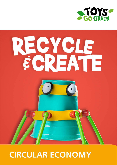



## **CIRCULAR ECONOMY**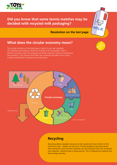

## **Did you know that some tennis matches may be decided with recycled milk packaging?**

**Resolution on the last page**

## **What does the circular economy mean?**

The circular economy is the ideal way in which to use raw materials. All materials and products should be recycled as far as possible. After a product has been used, the materials are either reused or used to manufacture new products. This ensures that fewer raw materials are taken from nature. A great contribution to protect the environment.



## **Recycling**

Recycling allows valuable resources to be reused and returns them to the economic cycle – ideally not just once. Strictly speaking, recycling means that exactly the same primary materials can be produced from the recovered raw materials. Anything else is downcycling. This is followed by material and then energy recovery.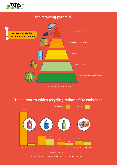

## **The recycling pyramid**



*Source: Greenpeace, Der Recyclingmythos 2020*

## **The extent to which recycling reduces CO2 emissions**



CO2 equivalents per kg

*Source: https://norden.diva-portal.org/smash/get/diva2:839864/FULLTEXT03.pdf*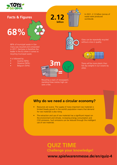

**Facts & Figures**

# **68%**



68% of municipal waste in Germany was recycled and composted in 2017. Germany is therefore the leader in the EU when it comes to recycling municipal waste.

#### It is followed by:

- Austria (58%)
- Slovenia (58%)
- Belgium (54%)



Recycling a stack of newspapers standing three metres high can save a tree.



In 2021, 2.12 billion tonnes of waste were produced worldwide.



Glass can be repeatedly recycled without a loss in quality.



There will be more plastic than fish (by weight) in our oceans by 2050.

## **Why do we need a circular economy?**

- Resources are scarce. The supply of many important raw materials is limited.Steady growth in the world's population means that demand for raw materials is also rising.
- The extraction and use of raw materials has a significant impact on the environment and climate, increasing energy consumption and CO2 emissions. Such emissions can be reduced through the intelligent use of raw materials.



## **QUIZ TIME Challenge your knowledge!**

### **www.spielwarenmesse.de/en/quiz-4**